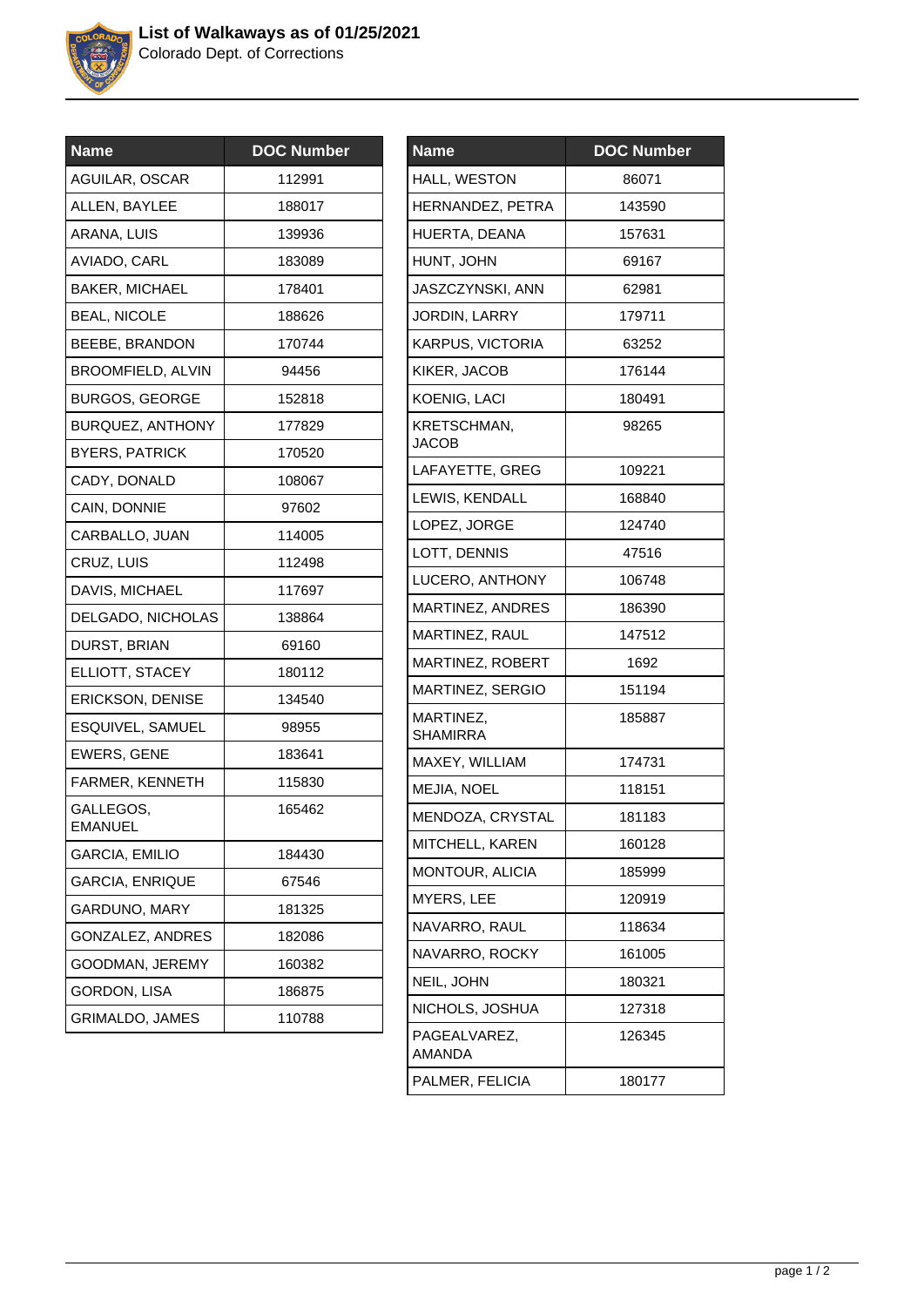

Colorado Dept. of Corrections

| <b>DOC Number</b> |
|-------------------|
| 112991            |
| 188017            |
| 139936            |
| 183089            |
| 178401            |
| 188626            |
| 170744            |
| 94456             |
| 152818            |
| 177829            |
| 170520            |
| 108067            |
| 97602             |
| 114005            |
| 112498            |
| 117697            |
| 138864            |
| 69160             |
| 180112            |
| 134540            |
| 98955             |
| 183641            |
| 115830            |
| 165462            |
| 184430            |
| 67546             |
| 181325            |
| 182086            |
| 160382            |
| 186875            |
| 110788            |
|                   |

| <b>Name</b>                  | <b>DOC Number</b> |
|------------------------------|-------------------|
| HALL, WESTON                 | 86071             |
| HERNANDEZ, PETRA             | 143590            |
| HUERTA, DEANA                | 157631            |
| HUNT, JOHN                   | 69167             |
| JASZCZYNSKI, ANN             | 62981             |
| JORDIN, LARRY                | 179711            |
| KARPUS, VICTORIA             | 63252             |
| KIKER, JACOB                 | 176144            |
| KOENIG, LACI                 | 180491            |
| KRETSCHMAN,<br><b>JACOB</b>  | 98265             |
| LAFAYETTE, GREG              | 109221            |
| LEWIS, KENDALL               | 168840            |
| LOPEZ, JORGE                 | 124740            |
| LOTT, DENNIS                 | 47516             |
| LUCERO, ANTHONY              | 106748            |
| MARTINEZ, ANDRES             | 186390            |
| MARTINEZ, RAUL               | 147512            |
| MARTINEZ, ROBERT             | 1692              |
| MARTINEZ, SERGIO             | 151194            |
| MARTINEZ,<br><b>SHAMIRRA</b> | 185887            |
| MAXEY, WILLIAM               | 174731            |
| MEJIA, NOEL                  | 118151            |
| MENDOZA, CRYSTAL             | 181183            |
| MITCHELL, KAREN              | 160128            |
| MONTOUR, ALICIA              | 185999            |
| MYERS, LEE                   | 120919            |
| NAVARRO, RAUL                | 118634            |
| NAVARRO, ROCKY               | 161005            |
| NEIL, JOHN                   | 180321            |
| NICHOLS, JOSHUA              | 127318            |
| PAGEALVAREZ,<br>AMANDA       | 126345            |
| PALMER, FELICIA              | 180177            |